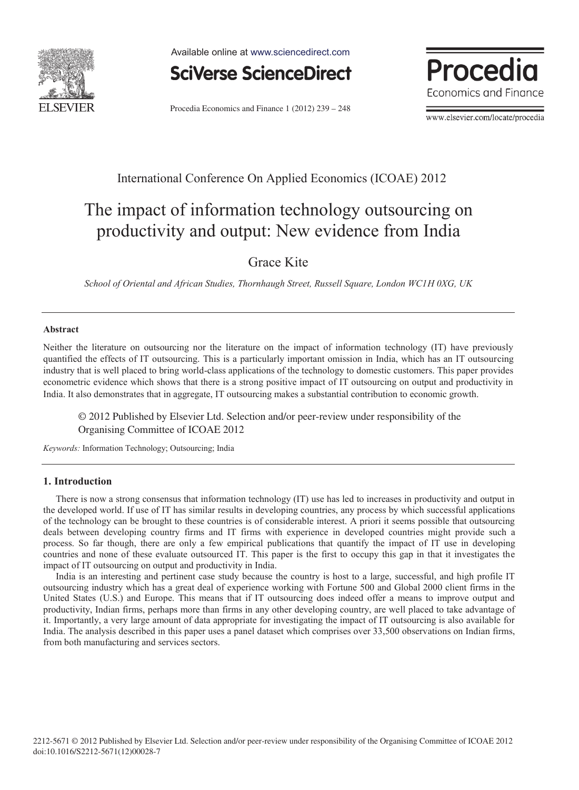

Available online at www.sciencedirect.com



Procedia Economics and Finance 1 (2012) 239 – 248



www.elsevier.com/locate/procedia

### International Conference On Applied Economics (ICOAE) 2012

# The impact of information technology outsourcing on productivity and output: New evidence from India

Grace Kite

*School of Oriental and African Studies, Thornhaugh Street, Russell Square, London WC1H 0XG, UK* 

### **Abstract**

Neither the literature on outsourcing nor the literature on the impact of information technology (IT) have previously quantified the effects of IT outsourcing. This is a particularly important omission in India, which has an IT outsourcing industry that is well placed to bring world-class applications of the technology to domestic customers. This paper provides econometric evidence which shows that there is a strong positive impact of IT outsourcing on output and productivity in India. It also demonstrates that in aggregate, IT outsourcing makes a substantial contribution to economic growth.

© 2012 Published by Elsevier Ltd. Selection and/or peer-review under responsibility of the © 2012 Published by Elsevier Ltd. Selection and/or peer-review under responsibility of the Organising Committee of ICOAE 2012 Organising Committee of ICOAE 2012

*Keywords:* Information Technology; Outsourcing; India

#### **1. Introduction**

There is now a strong consensus that information technology (IT) use has led to increases in productivity and output in the developed world. If use of IT has similar results in developing countries, any process by which successful applications of the technology can be brought to these countries is of considerable interest. A priori it seems possible that outsourcing deals between developing country firms and IT firms with experience in developed countries might provide such a process. So far though, there are only a few empirical publications that quantify the impact of IT use in developing countries and none of these evaluate outsourced IT. This paper is the first to occupy this gap in that it investigates the impact of IT outsourcing on output and productivity in India.

India is an interesting and pertinent case study because the country is host to a large, successful, and high profile IT outsourcing industry which has a great deal of experience working with Fortune 500 and Global 2000 client firms in the United States (U.S.) and Europe. This means that if IT outsourcing does indeed offer a means to improve output and productivity, Indian firms, perhaps more than firms in any other developing country, are well placed to take advantage of it. Importantly, a very large amount of data appropriate for investigating the impact of IT outsourcing is also available for India. The analysis described in this paper uses a panel dataset which comprises over 33,500 observations on Indian firms, from both manufacturing and services sectors.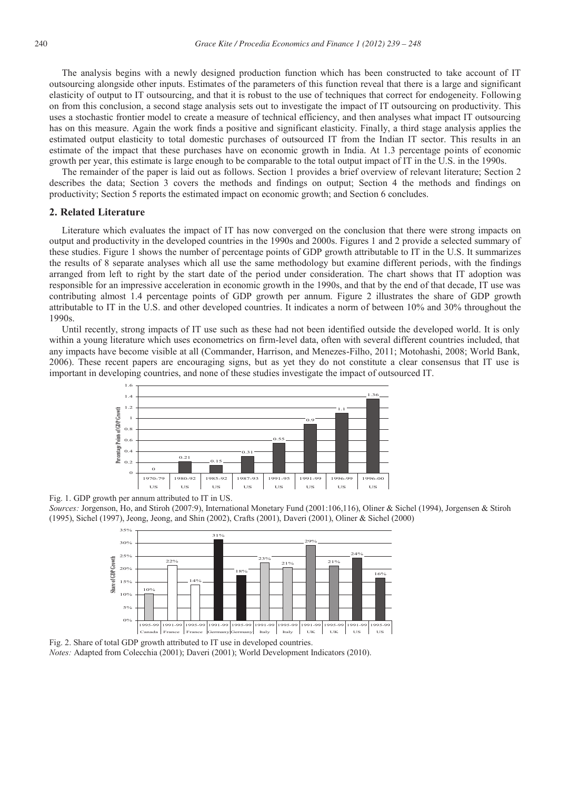The analysis begins with a newly designed production function which has been constructed to take account of IT outsourcing alongside other inputs. Estimates of the parameters of this function reveal that there is a large and significant elasticity of output to IT outsourcing, and that it is robust to the use of techniques that correct for endogeneity. Following on from this conclusion, a second stage analysis sets out to investigate the impact of IT outsourcing on productivity. This uses a stochastic frontier model to create a measure of technical efficiency, and then analyses what impact IT outsourcing has on this measure. Again the work finds a positive and significant elasticity. Finally, a third stage analysis applies the estimated output elasticity to total domestic purchases of outsourced IT from the Indian IT sector. This results in an estimate of the impact that these purchases have on economic growth in India. At 1.3 percentage points of economic growth per year, this estimate is large enough to be comparable to the total output impact of IT in the U.S. in the 1990s.

The remainder of the paper is laid out as follows. Section 1 provides a brief overview of relevant literature; Section 2 describes the data; Section 3 covers the methods and findings on output; Section 4 the methods and findings on productivity; Section 5 reports the estimated impact on economic growth; and Section 6 concludes.

#### **2. Related Literature**

Literature which evaluates the impact of IT has now converged on the conclusion that there were strong impacts on output and productivity in the developed countries in the 1990s and 2000s. Figures 1 and 2 provide a selected summary of these studies. Figure 1 shows the number of percentage points of GDP growth attributable to IT in the U.S. It summarizes the results of 8 separate analyses which all use the same methodology but examine different periods, with the findings arranged from left to right by the start date of the period under consideration. The chart shows that IT adoption was responsible for an impressive acceleration in economic growth in the 1990s, and that by the end of that decade, IT use was contributing almost 1.4 percentage points of GDP growth per annum. Figure 2 illustrates the share of GDP growth attributable to IT in the U.S. and other developed countries. It indicates a norm of between 10% and 30% throughout the 1990s.

Until recently, strong impacts of IT use such as these had not been identified outside the developed world. It is only within a young literature which uses econometrics on firm-level data, often with several different countries included, that any impacts have become visible at all (Commander, Harrison, and Menezes-Filho, 2011; Motohashi, 2008; World Bank, 2006). These recent papers are encouraging signs, but as yet they do not constitute a clear consensus that IT use is important in developing countries, and none of these studies investigate the impact of outsourced IT.



Fig. 1. GDP growth per annum attributed to IT in US.

*Sources:* Jorgenson, Ho, and Stiroh (2007:9), International Monetary Fund (2001:106,116), Oliner & Sichel (1994), Jorgensen & Stiroh (1995), Sichel (1997), Jeong, Jeong, and Shin (2002), Crafts (2001), Daveri (2001), Oliner & Sichel (2000)



Fig. 2. Share of total GDP growth attributed to IT use in developed countries. *Notes:* Adapted from Colecchia (2001); Daveri (2001); World Development Indicators (2010).